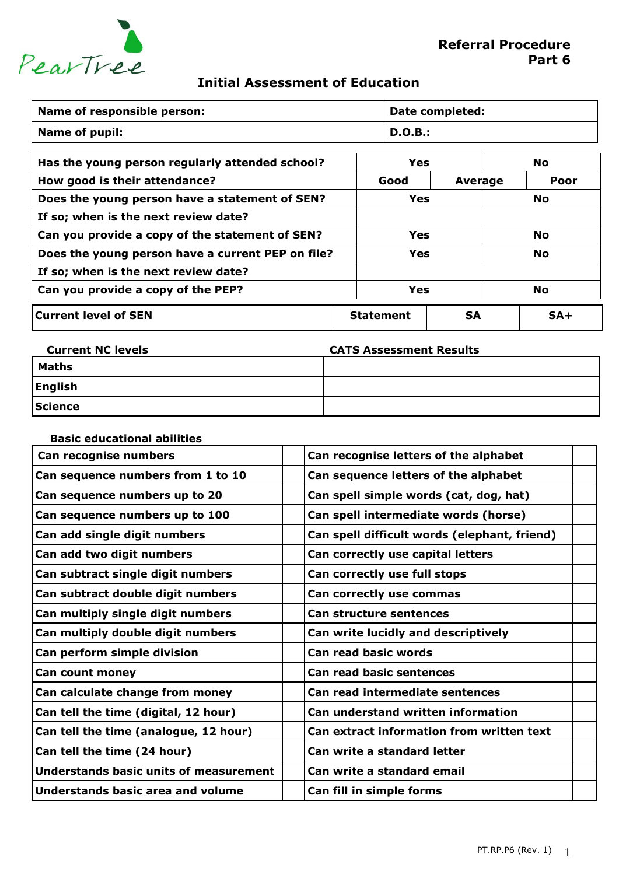

## **Initial Assessment of Education**

| Name of responsible person:                       |            | Date completed:               |  |           |           |
|---------------------------------------------------|------------|-------------------------------|--|-----------|-----------|
| <b>Name of pupil:</b>                             |            | D.O.B.:                       |  |           |           |
| Has the young person regularly attended school?   |            | <b>Yes</b>                    |  |           | <b>No</b> |
| How good is their attendance?                     |            | Good                          |  | Average   | Poor      |
| Does the young person have a statement of SEN?    |            | <b>Yes</b>                    |  |           | <b>No</b> |
| If so; when is the next review date?              |            |                               |  |           |           |
| Can you provide a copy of the statement of SEN?   |            | <b>Yes</b>                    |  |           | <b>No</b> |
| Does the young person have a current PEP on file? | <b>Yes</b> |                               |  | <b>No</b> |           |
| If so; when is the next review date?              |            |                               |  |           |           |
| Can you provide a copy of the PEP?                |            | Yes                           |  | <b>No</b> |           |
| <b>Current level of SEN</b>                       |            | <b>SA</b><br><b>Statement</b> |  |           | $SA+$     |

| <b>Current NC levels</b> | <b>CATS Assessment Results</b> |
|--------------------------|--------------------------------|
| Maths                    |                                |
| English                  |                                |
| Science                  |                                |

| <b>Basic educational abilities</b>            |                                              |  |
|-----------------------------------------------|----------------------------------------------|--|
| Can recognise numbers                         | Can recognise letters of the alphabet        |  |
| Can sequence numbers from 1 to 10             | Can sequence letters of the alphabet         |  |
| Can sequence numbers up to 20                 | Can spell simple words (cat, dog, hat)       |  |
| Can sequence numbers up to 100                | Can spell intermediate words (horse)         |  |
| Can add single digit numbers                  | Can spell difficult words (elephant, friend) |  |
| Can add two digit numbers                     | Can correctly use capital letters            |  |
| Can subtract single digit numbers             | Can correctly use full stops                 |  |
| Can subtract double digit numbers             | Can correctly use commas                     |  |
| Can multiply single digit numbers             | <b>Can structure sentences</b>               |  |
| Can multiply double digit numbers             | Can write lucidly and descriptively          |  |
| Can perform simple division                   | <b>Can read basic words</b>                  |  |
| Can count money                               | <b>Can read basic sentences</b>              |  |
| Can calculate change from money               | Can read intermediate sentences              |  |
| Can tell the time (digital, 12 hour)          | <b>Can understand written information</b>    |  |
| Can tell the time (analogue, 12 hour)         | Can extract information from written text    |  |
| Can tell the time (24 hour)                   | Can write a standard letter                  |  |
| <b>Understands basic units of measurement</b> | Can write a standard email                   |  |
| Understands basic area and volume             | Can fill in simple forms                     |  |